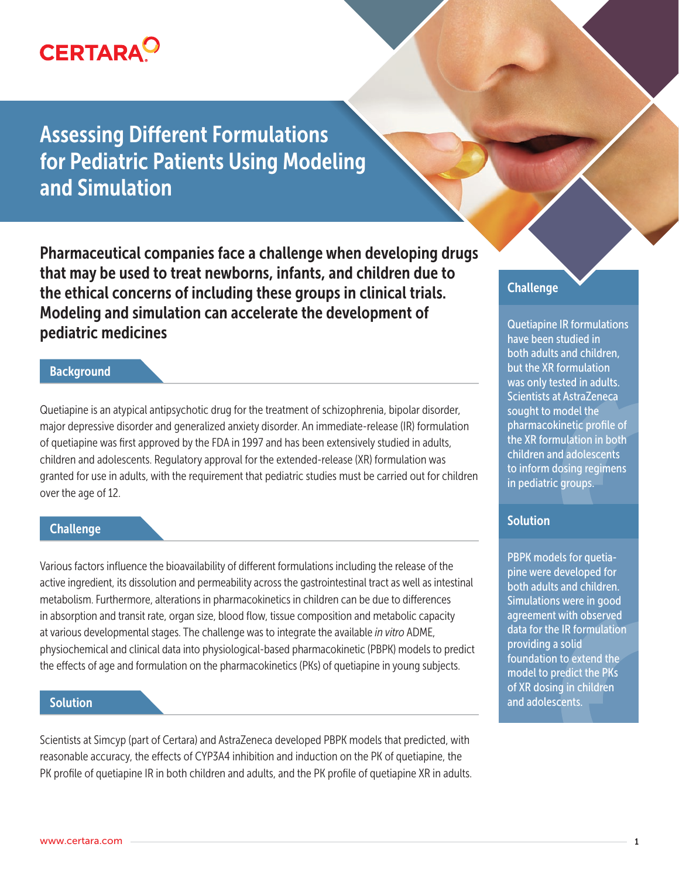

Assessing Different Formulations for Pediatric Patients Using Modeling and Simulation

Pharmaceutical companies face a challenge when developing drugs that may be used to treat newborns, infants, and children due to the ethical concerns of including these groups in clinical trials. Modeling and simulation can accelerate the development of pediatric medicines

#### **Background**

Quetiapine is an atypical antipsychotic drug for the treatment of schizophrenia, bipolar disorder, major depressive disorder and generalized anxiety disorder. An immediate-release (IR) formulation of quetiapine was first approved by the FDA in 1997 and has been extensively studied in adults, children and adolescents. Regulatory approval for the extended-release (XR) formulation was granted for use in adults, with the requirement that pediatric studies must be carried out for children over the age of 12.

#### **Challenge**

Various factors influence the bioavailability of different formulations including the release of the active ingredient, its dissolution and permeability across the gastrointestinal tract as well as intestinal metabolism. Furthermore, alterations in pharmacokinetics in children can be due to differences in absorption and transit rate, organ size, blood flow, tissue composition and metabolic capacity at various developmental stages. The challenge was to integrate the available *in vitro* ADME, physiochemical and clinical data into physiological-based pharmacokinetic (PBPK) models to predict the effects of age and formulation on the pharmacokinetics (PKs) of quetiapine in young subjects.

### **Solution**

Scientists at Simcyp (part of Certara) and AstraZeneca developed PBPK models that predicted, with reasonable accuracy, the effects of CYP3A4 inhibition and induction on the PK of quetiapine, the PK profile of quetiapine IR in both children and adults, and the PK profile of quetiapine XR in adults.

# Challenge

Quetiapine IR formulations have been studied in both adults and children, but the XR formulation was only tested in adults. Scientists at AstraZeneca sought to model the pharmacokinetic profile of the XR formulation in both children and adolescents to inform dosing regimens in pediatric groups.

# **Solution**

PBPK models for quetiapine were developed for both adults and children. Simulations were in good agreement with observed data for the IR formulation providing a solid foundation to extend the model to predict the PKs of XR dosing in children and adolescents.